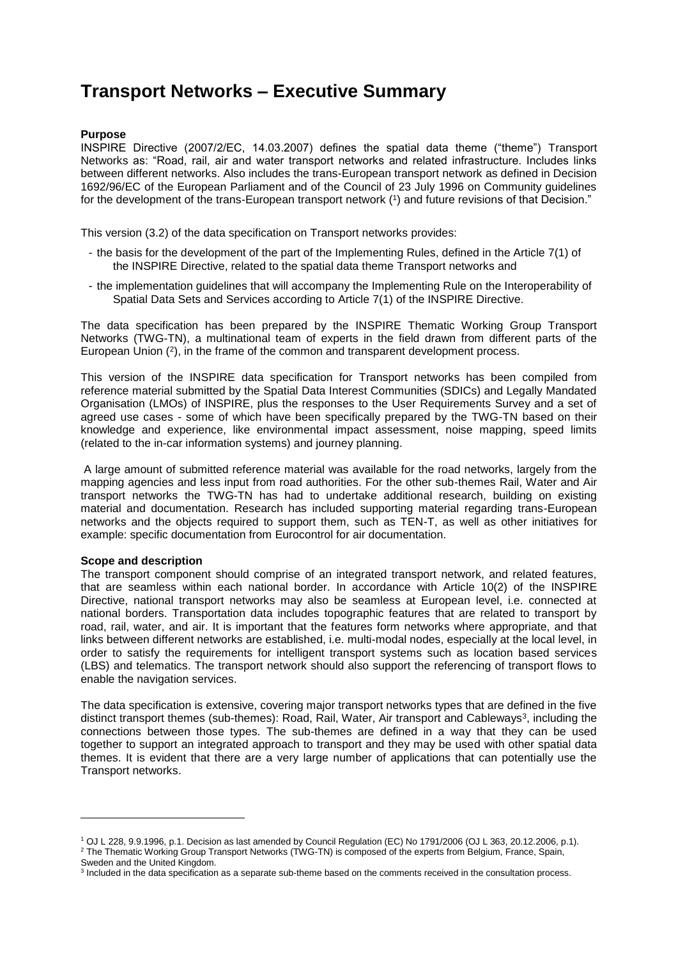## **Transport Networks – Executive Summary**

## **Purpose**

INSPIRE Directive (2007/2/EC, 14.03.2007) defines the spatial data theme ("theme") Transport Networks as: "Road, rail, air and water transport networks and related infrastructure. Includes links between different networks. Also includes the trans-European transport network as defined in Decision 1692/96/EC of the European Parliament and of the Council of 23 July 1996 on Community guidelines for the development of the trans-European transport network  $(1)$  and future revisions of that Decision."

This version (3.2) of the data specification on Transport networks provides:

- the basis for the development of the part of the Implementing Rules, defined in the Article 7(1) of the INSPIRE Directive, related to the spatial data theme Transport networks and
- the implementation guidelines that will accompany the Implementing Rule on the Interoperability of Spatial Data Sets and Services according to Article 7(1) of the INSPIRE Directive.

The data specification has been prepared by the INSPIRE Thematic Working Group Transport Networks (TWG-TN), a multinational team of experts in the field drawn from different parts of the European Union (<sup>2</sup> ), in the frame of the common and transparent development process.

This version of the INSPIRE data specification for Transport networks has been compiled from reference material submitted by the Spatial Data Interest Communities (SDICs) and Legally Mandated Organisation (LMOs) of INSPIRE, plus the responses to the User Requirements Survey and a set of agreed use cases - some of which have been specifically prepared by the TWG-TN based on their knowledge and experience, like environmental impact assessment, noise mapping, speed limits (related to the in-car information systems) and journey planning.

A large amount of submitted reference material was available for the road networks, largely from the mapping agencies and less input from road authorities. For the other sub-themes Rail, Water and Air transport networks the TWG-TN has had to undertake additional research, building on existing material and documentation. Research has included supporting material regarding trans-European networks and the objects required to support them, such as TEN-T, as well as other initiatives for example: specific documentation from Eurocontrol for air documentation.

## **Scope and description**

l

The transport component should comprise of an integrated transport network, and related features, that are seamless within each national border. In accordance with Article 10(2) of the INSPIRE Directive, national transport networks may also be seamless at European level, i.e. connected at national borders. Transportation data includes topographic features that are related to transport by road, rail, water, and air. It is important that the features form networks where appropriate, and that links between different networks are established, i.e. multi-modal nodes, especially at the local level, in order to satisfy the requirements for intelligent transport systems such as location based services (LBS) and telematics. The transport network should also support the referencing of transport flows to enable the navigation services.

The data specification is extensive, covering major transport networks types that are defined in the five distinct transport themes (sub-themes): Road, Rail, Water, Air transport and Cableways<sup>3</sup>, including the connections between those types. The sub-themes are defined in a way that they can be used together to support an integrated approach to transport and they may be used with other spatial data themes. It is evident that there are a very large number of applications that can potentially use the Transport networks.

<sup>1</sup> OJ L 228, 9.9.1996, p.1. Decision as last amended by Council Regulation (EC) No 1791/2006 (OJ L 363, 20.12.2006, p.1). <sup>2</sup> The Thematic Working Group Transport Networks (TWG-TN) is composed of the experts from Belgium, France, Spain, Sweden and the United Kingdom.

<sup>&</sup>lt;sup>3</sup> Included in the data specification as a separate sub-theme based on the comments received in the consultation process.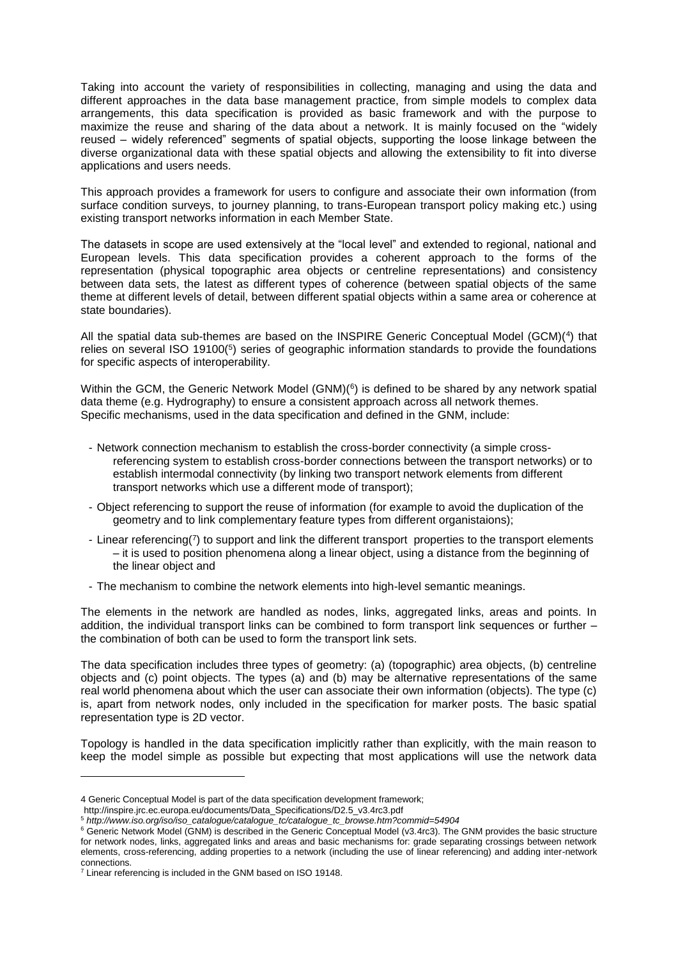Taking into account the variety of responsibilities in collecting, managing and using the data and different approaches in the data base management practice, from simple models to complex data arrangements, this data specification is provided as basic framework and with the purpose to maximize the reuse and sharing of the data about a network. It is mainly focused on the "widely reused – widely referenced" segments of spatial objects, supporting the loose linkage between the diverse organizational data with these spatial objects and allowing the extensibility to fit into diverse applications and users needs.

This approach provides a framework for users to configure and associate their own information (from surface condition surveys, to journey planning, to trans-European transport policy making etc.) using existing transport networks information in each Member State.

The datasets in scope are used extensively at the "local level" and extended to regional, national and European levels. This data specification provides a coherent approach to the forms of the representation (physical topographic area objects or centreline representations) and consistency between data sets, the latest as different types of coherence (between spatial objects of the same theme at different levels of detail, between different spatial objects within a same area or coherence at state boundaries).

All the spatial data sub-themes are based on the INSPIRE Generic Conceptual Model (GCM)(<sup>4</sup>) that relies on several ISO 19100(<sup>5</sup>) series of geographic information standards to provide the foundations for specific aspects of interoperability.

Within the GCM, the Generic Network Model (GNM)( $^6$ ) is defined to be shared by any network spatial data theme (e.g. Hydrography) to ensure a consistent approach across all network themes. Specific mechanisms, used in the data specification and defined in the GNM, include:

- Network connection mechanism to establish the cross-border connectivity (a simple crossreferencing system to establish cross-border connections between the transport networks) or to establish intermodal connectivity (by linking two transport network elements from different transport networks which use a different mode of transport);
- Object referencing to support the reuse of information (for example to avoid the duplication of the geometry and to link complementary feature types from different organistaions);
- Linear referencing(7) to support and link the different transport properties to the transport elements – it is used to position phenomena along a linear object, using a distance from the beginning of the linear object and
- The mechanism to combine the network elements into high-level semantic meanings.

The elements in the network are handled as nodes, links, aggregated links, areas and points. In addition, the individual transport links can be combined to form transport link sequences or further – the combination of both can be used to form the transport link sets.

The data specification includes three types of geometry: (a) (topographic) area objects, (b) centreline objects and (c) point objects. The types (a) and (b) may be alternative representations of the same real world phenomena about which the user can associate their own information (objects). The type (c) is, apart from network nodes, only included in the specification for marker posts. The basic spatial representation type is 2D vector.

Topology is handled in the data specification implicitly rather than explicitly, with the main reason to keep the model simple as possible but expecting that most applications will use the network data

l

<sup>4</sup> Generic Conceptual Model is part of the data specification development framework;

http://inspire.jrc.ec.europa.eu/documents/Data\_Specifications/D2.5\_v3.4rc3.pdf

<sup>5</sup> *[http://www.iso.org/iso/iso\\_catalogue/catalogue\\_tc/catalogue\\_tc\\_browse.htm?commid=54904](http://www.iso.org/iso/iso_catalogue/catalogue_tc/catalogue_tc_browse.htm?commid=54904)*

<sup>6</sup> Generic Network Model (GNM) is described in the Generic Conceptual Model (v3.4rc3). The GNM provides the basic structure for network nodes, links, aggregated links and areas and basic mechanisms for: grade separating crossings between network elements, cross-referencing, adding properties to a network (including the use of linear referencing) and adding inter-network connections.

<sup>&</sup>lt;sup>7</sup> Linear referencing is included in the GNM based on ISO 19148.